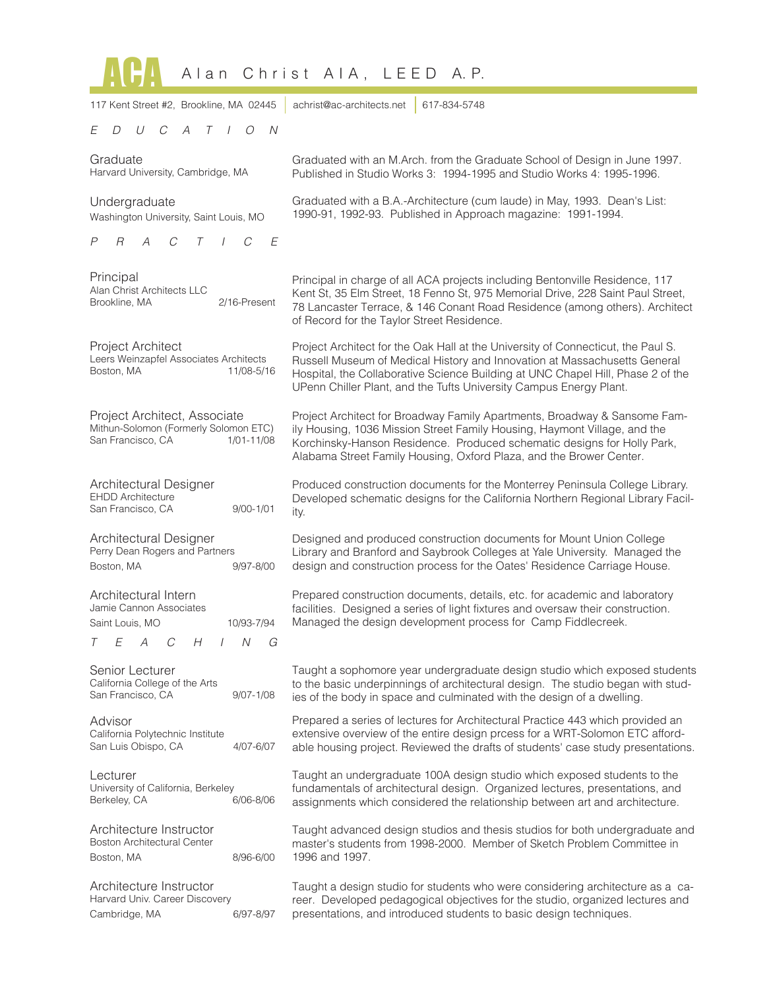| Alan Christ AIA, LEED<br>A. P.                                                                                                   |                                                                                                                                                                                                                                                                                                                        |  |
|----------------------------------------------------------------------------------------------------------------------------------|------------------------------------------------------------------------------------------------------------------------------------------------------------------------------------------------------------------------------------------------------------------------------------------------------------------------|--|
| 117 Kent Street #2, Brookline, MA 02445                                                                                          | achrist@ac-architects.net<br>617-834-5748                                                                                                                                                                                                                                                                              |  |
| E<br>$\iota$<br>C<br>A<br>T<br>$\frac{1}{2}$<br>$\overline{O}$<br>- N<br>D                                                       |                                                                                                                                                                                                                                                                                                                        |  |
| Graduate<br>Harvard University, Cambridge, MA                                                                                    | Graduated with an M.Arch. from the Graduate School of Design in June 1997.<br>Published in Studio Works 3: 1994-1995 and Studio Works 4: 1995-1996.                                                                                                                                                                    |  |
| Undergraduate<br>Washington University, Saint Louis, MO                                                                          | Graduated with a B.A.-Architecture (cum laude) in May, 1993. Dean's List:<br>1990-91, 1992-93. Published in Approach magazine: 1991-1994.                                                                                                                                                                              |  |
| F<br>P<br>R<br>C                                                                                                                 |                                                                                                                                                                                                                                                                                                                        |  |
| Principal<br>Alan Christ Architects LLC<br>2/16-Present<br>Brookline, MA                                                         | Principal in charge of all ACA projects including Bentonville Residence, 117<br>Kent St, 35 Elm Street, 18 Fenno St, 975 Memorial Drive, 228 Saint Paul Street,<br>78 Lancaster Terrace, & 146 Conant Road Residence (among others). Architect<br>of Record for the Taylor Street Residence.                           |  |
| Project Architect<br>Leers Weinzapfel Associates Architects<br>11/08-5/16<br>Boston, MA                                          | Project Architect for the Oak Hall at the University of Connecticut, the Paul S.<br>Russell Museum of Medical History and Innovation at Massachusetts General<br>Hospital, the Collaborative Science Building at UNC Chapel Hill, Phase 2 of the<br>UPenn Chiller Plant, and the Tufts University Campus Energy Plant. |  |
| Project Architect, Associate<br>Mithun-Solomon (Formerly Solomon ETC)<br>San Francisco, CA<br>1/01-11/08                         | Project Architect for Broadway Family Apartments, Broadway & Sansome Fam-<br>ily Housing, 1036 Mission Street Family Housing, Haymont Village, and the<br>Korchinsky-Hanson Residence. Produced schematic designs for Holly Park,<br>Alabama Street Family Housing, Oxford Plaza, and the Brower Center.               |  |
| Architectural Designer<br><b>EHDD Architecture</b><br>$9/00 - 1/01$<br>San Francisco, CA                                         | Produced construction documents for the Monterrey Peninsula College Library.<br>Developed schematic designs for the California Northern Regional Library Facil-<br>ity.                                                                                                                                                |  |
| Architectural Designer<br>Perry Dean Rogers and Partners<br>Boston, MA<br>$9/97 - 8/00$                                          | Designed and produced construction documents for Mount Union College<br>Library and Branford and Saybrook Colleges at Yale University. Managed the<br>design and construction process for the Oates' Residence Carriage House.                                                                                         |  |
| Architectural Intern<br>Jamie Cannon Associates<br>10/93-7/94<br>Saint Louis, MO<br>$\overline{N}$<br>E<br>H<br>G<br>Τ<br>A<br>C | Prepared construction documents, details, etc. for academic and laboratory<br>facilities. Designed a series of light fixtures and oversaw their construction.<br>Managed the design development process for Camp Fiddlecreek.                                                                                          |  |
| Senior Lecturer<br>California College of the Arts<br>San Francisco, CA<br>$9/07 - 1/08$                                          | Taught a sophomore year undergraduate design studio which exposed students<br>to the basic underpinnings of architectural design. The studio began with stud-<br>ies of the body in space and culminated with the design of a dwelling.                                                                                |  |
| Advisor<br>California Polytechnic Institute<br>San Luis Obispo, CA<br>4/07-6/07                                                  | Prepared a series of lectures for Architectural Practice 443 which provided an<br>extensive overview of the entire design prcess for a WRT-Solomon ETC afford-<br>able housing project. Reviewed the drafts of students' case study presentations.                                                                     |  |
| Lecturer<br>University of California, Berkeley<br>6/06-8/06<br>Berkeley, CA                                                      | Taught an undergraduate 100A design studio which exposed students to the<br>fundamentals of architectural design. Organized lectures, presentations, and<br>assignments which considered the relationship between art and architecture.                                                                                |  |
| Architecture Instructor<br><b>Boston Architectural Center</b><br>Boston, MA<br>8/96-6/00                                         | Taught advanced design studios and thesis studios for both undergraduate and<br>master's students from 1998-2000. Member of Sketch Problem Committee in<br>1996 and 1997.                                                                                                                                              |  |
| Architecture Instructor<br>Harvard Univ. Career Discovery<br>Cambridge, MA<br>6/97-8/97                                          | Taught a design studio for students who were considering architecture as a ca-<br>reer. Developed pedagogical objectives for the studio, organized lectures and<br>presentations, and introduced students to basic design techniques.                                                                                  |  |